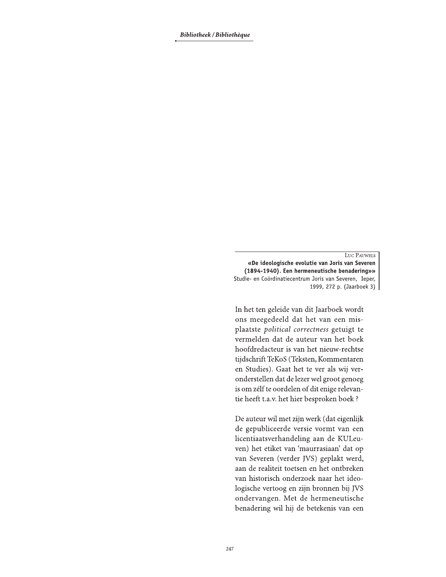Bibliotheek / Bibliothèque

LUC PAUWELS «De ideologische evolutie van Joris van Severen (1894-1940). Een hermeneutische benadering»» Studie- en Coördinatiecentrum Joris van Severen, Ieper, 1999, 272 p. (Jaarboek 3)

In het ten geleide van dit Jaarboek wordt ons meegedeeld dat het van een misplaatste political correctness getuigt te vermelden dat de auteur van het boek hoofdredacteur is van het nieuw-rechtse tijdschrift TeKoS (Teksten, Kommentaren en Studies). Gaat het te ver als wij veronderstellen dat de lezer wel groot genoeg is om zélf te oordelen of dit enige relevantie heeft t.a.v. het hier besproken boek ?

De auteur wil met zijn werk (dat eigenlijk de gepubliceerde versie vormt van een licentiaatsverhandeling aan de KULeuven) het etiket van 'maurrasiaan' dat op van Severen (verder JVS) geplakt werd, aan de realiteit toetsen en het ontbreken van historisch onderzoek naar het ideologische vertoog en zijn bronnen bij JVS ondervangen. Met de hermeneutische benadering wil hij de betekenis van een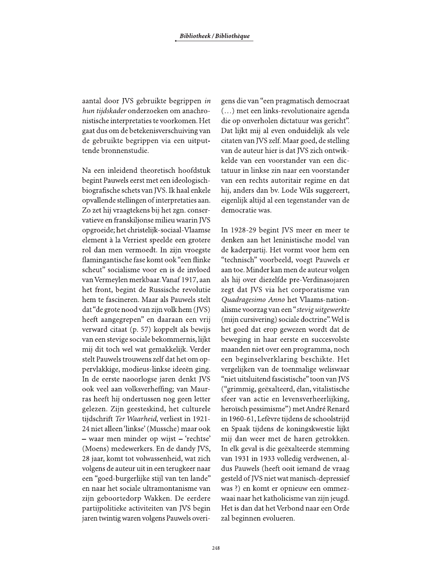aantal door JVS gebruikte begrippen in hun tijdskader onderzoeken om anachronistische interpretaties te voorkomen. Het gaat dus om de betekenisverschuiving van de gebruikte begrippen via een uitputtende bronnenstudie.

Na een inleidend theoretisch hoofdstuk begint Pauwels eerst met een ideologischbiografische schets van JVS. Ik haal enkele opvallende stellingen of interpretaties aan. Zo zet hij vraagtekens bij het zgn. conservatieve en franskiljonse milieu waarin JVS opgroeide; het christelijk-sociaal-Vlaamse element à la Verriest speelde een grotere rol dan men vermoedt. In zijn vroegste flamingantische fase komt ook "een flinke scheut" socialisme voor en is de invloed van Vermeylen merkbaar. Vanaf 1917, aan het front, begint de Russische revolutie hem te fascineren. Maar als Pauwels stelt dat "de grote nood van zijn volk hem (JVS) heeft aangegrepen" en daaraan een vrij verward citaat (p. 57) koppelt als bewijs van een stevige sociale bekommernis, lijkt mij dit toch wel wat gemakkelijk. Verder stelt Pauwels trouwens zelf dat het om oppervlakkige, modieus-linkse ideeën ging. In de eerste naoorlogse jaren denkt JVS ook veel aan volksverheffing; van Maurras heeft hij ondertussen nog geen letter gelezen. Zijn geesteskind, het culturele tijdschrift Ter Waarheid, verliest in 1921-24 niet alleen 'linkse' (Mussche) maar ook - waar men minder op wijst - 'rechtse' (Moens) medewerkers. En de dandy JVS, 28 jaar, komt tot volwassenheid, wat zich volgens de auteur uit in een terugkeer naar een "goed-burgerlijke stijl van ten lande" en naar het sociale ultramontanisme van zijn geboortedorp Wakken. De eerdere partijpolitieke activiteiten van JVS begin jaren twintig waren volgens Pauwels overi-

gens die van "een pragmatisch democraat (...) met een links-revolutionaire agenda die op onverholen dictatuur was gericht". Dat lijkt mij al even onduidelijk als vele citaten van JVS zelf. Maar goed, de stelling van de auteur hier is dat IVS zich ontwikkelde van een voorstander van een dictatuur in linkse zin naar een voorstander van een rechts autoritair regime en dat hij, anders dan by. Lode Wils suggereert, eigenlijk altijd al een tegenstander van de democratie was.

In 1928-29 begint JVS meer en meer te denken aan het leninistische model van de kaderpartij. Het vormt voor hem een "technisch" voorbeeld, voegt Pauwels er aan toe. Minder kan men de auteur volgen als hij over diezelfde pre-Verdinasojaren zegt dat JVS via het corporatisme van Quadragesimo Anno het Vlaams-nationalisme voorzag van een "stevig uitgewerkte (mijn cursivering) sociale doctrine". Wel is het goed dat erop gewezen wordt dat de beweging in haar eerste en succesvolste maanden niet over een programma, noch een beginselverklaring beschikte. Het vergelijken van de toenmalige weliswaar "niet uitsluitend fascistische" toon van JVS ("grimmig, geëxalteerd, élan, vitalistische sfeer van actie en levensverheerlijking, heroïsch pessimisme") met André Renard in 1960-61, Lefèvre tijdens de schoolstrijd en Spaak tijdens de koningskwestie lijkt mij dan weer met de haren getrokken. In elk geval is die geëxalteerde stemming van 1931 in 1933 volledig verdwenen, aldus Pauwels (heeft ooit iemand de vraag gesteld of JVS niet wat manisch-depressief was ?) en komt er opnieuw een ommezwaai naar het katholicisme van zijn jeugd. Het is dan dat het Verbond naar een Orde zal beginnen evolueren.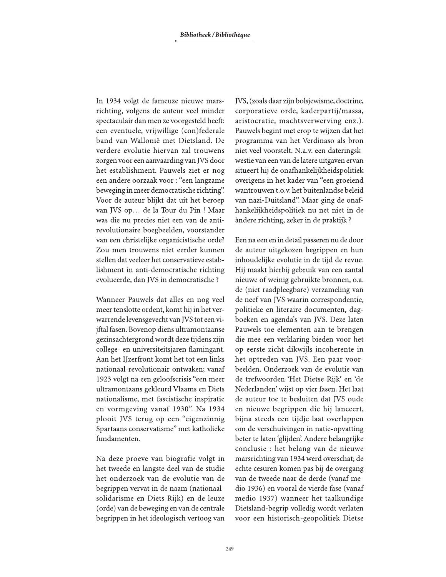In 1934 volgt de fameuze nieuwe marsrichting, volgens de auteur veel minder spectaculair dan men ze voorgesteld heeft: een eventuele, vrijwillige (con)federale band van Wallonië met Dietsland. De verdere evolutie hiervan zal trouwens zorgen voor een aanvaarding van JVS door het establishment. Pauwels ziet er nog een andere oorzaak voor : "een langzame beweging in meer democratische richting". Voor de auteur blijkt dat uit het beroep van JVS op... de la Tour du Pin ! Maar was die nu precies niet een van de antirevolutionaire boegbeelden, voorstander van een christelijke organicistische orde? Zou men trouwens niet eerder kunnen stellen dat veeleer het conservatieve establishment in anti-democratische richting evolueerde, dan JVS in democratische ?

Wanneer Pauwels dat alles en nog veel meer tenslotte ordent, komt hij in het verwarrende levensgevecht van JVS tot een vijftal fasen. Bovenop diens ultramontaanse gezinsachtergrond wordt deze tijdens zijn college- en universiteitsjaren flamingant. Aan het IJzerfront komt het tot een links nationaal-revolutionair ontwaken; vanaf 1923 volgt na een geloofscrisis "een meer ultramontaans gekleurd Vlaams en Diets nationalisme, met fascistische inspiratie en vormgeving vanaf 1930". Na 1934 plooit JVS terug op een "eigenzinnig Spartaans conservatisme" met katholieke fundamenten.

Na deze proeve van biografie volgt in het tweede en langste deel van de studie het onderzoek van de evolutie van de begrippen vervat in de naam (nationaalsolidarisme en Diets Rijk) en de leuze (orde) van de beweging en van de centrale begrippen in het ideologisch vertoog van JVS, (zoals daar zijn bolsjewisme, doctrine, corporatieve orde, kaderpartij/massa, aristocratie, machtsverwerving enz.). Pauwels begint met erop te wijzen dat het programma van het Verdinaso als bron niet veel voorstelt. N.a.v. een dateringskwestie van een van de latere uitgaven ervan situeert hij de onafhankelijkheidspolitiek overigens in het kader van "een groeiend wantrouwen t.o.v. het buitenlandse beleid van nazi-Duitsland". Maar ging de onafhankelijkheidspolitiek nu net niet in de àndere richting, zeker in de praktijk ?

Een na een en in detail passeren nu de door de auteur uitgekozen begrippen en hun inhoudelijke evolutie in de tijd de revue. Hij maakt hierbij gebruik van een aantal nieuwe of weinig gebruikte bronnen, o.a. de (niet raadpleegbare) verzameling van de neef van JVS waarin correspondentie, politieke en literaire documenten, dagboeken en agenda's van JVS. Deze laten Pauwels toe elementen aan te brengen die mee een verklaring bieden voor het op eerste zicht dikwijls incoherente in het optreden van JVS. Een paar voorbeelden. Onderzoek van de evolutie van de trefwoorden 'Het Dietse Rijk' en 'de Nederlanden' wijst op vier fasen. Het laat de auteur toe te besluiten dat JVS oude en nieuwe begrippen die hij lanceert, bijna steeds een tijdje laat overlappen om de verschuivingen in natie-opvatting beter te laten 'glijden'. Andere belangrijke conclusie : het belang van de nieuwe marsrichting van 1934 werd overschat; de echte cesuren komen pas bij de overgang van de tweede naar de derde (vanaf medio 1936) en vooral de vierde fase (vanaf medio 1937) wanneer het taalkundige Dietsland-begrip volledig wordt verlaten voor een historisch-geopolitiek Dietse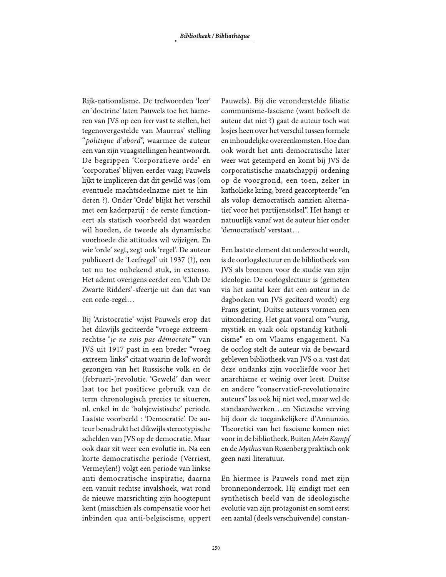Rijk-nationalisme. De trefwoorden 'leer' en 'doctrine' laten Pauwels toe het hameren van JVS op een leer vast te stellen, het tegenovergestelde van Maurras' stelling "politique d'abord", waarmee de auteur een van zijn vraagstellingen beantwoordt. De begrippen 'Corporatieve orde' en 'corporaties' blijven eerder vaag; Pauwels lijkt te impliceren dat dit gewild was (om eventuele machtsdeelname niet te hinderen ?). Onder 'Orde' blijkt het verschil met een kaderpartij : de eerste functioneert als statisch voorbeeld dat waarden wil hoeden, de tweede als dynamische voorhoede die attitudes wil wijzigen. En wie 'orde' zegt, zegt ook 'regel'. De auteur publiceert de 'Leefregel' uit 1937 (?), een tot nu toe onbekend stuk, in extenso. Het ademt overigens eerder een 'Club De Zwarte Ridders'-sfeertje uit dan dat van een orde-regel...

Bij 'Aristocratie' wijst Pauwels erop dat het dikwijls geciteerde "vroege extreemrechtse 'je ne suis pas démocrate" van JVS uit 1917 past in een breder "vroeg extreem-links" citaat waarin de lof wordt gezongen van het Russische volk en de (februari-)revolutie. 'Geweld' dan weer laat toe het positieve gebruik van de term chronologisch precies te situeren, nl. enkel in de 'bolsjewistische' periode. Laatste voorbeeld : 'Democratie'. De auteur benadrukt het dikwijls stereotypische schelden van JVS op de democratie. Maar ook daar zit weer een evolutie in. Na een korte democratische periode (Verriest, Vermeylen!) volgt een periode van linkse anti-democratische inspiratie, daarna een vanuit rechtse invalshoek, wat rond de nieuwe marsrichting zijn hoogtepunt kent (misschien als compensatie voor het inbinden qua anti-belgiscisme, oppert

Pauwels). Bij die veronderstelde filiatie communisme-fascisme (want bedoelt de auteur dat niet ?) gaat de auteur toch wat losjes heen over het verschil tussen formele en inhoudelijke overeenkomsten. Hoe dan ook wordt het anti-democratische later weer wat getemperd en komt bij JVS de corporatistische maatschappij-ordening op de voorgrond, een toen, zeker in katholieke kring, breed geaccepteerde "en als volop democratisch aanzien alternatief voor het partijenstelsel". Het hangt er natuurlijk vanaf wat de auteur hier onder 'democratisch' verstaat...

Een laatste element dat onderzocht wordt, is de oorlogslectuur en de bibliotheek van JVS als bronnen voor de studie van zijn ideologie. De oorlogslectuur is (gemeten via het aantal keer dat een auteur in de dagboeken van JVS geciteerd wordt) erg Frans getint; Duitse auteurs vormen een uitzondering. Het gaat vooral om "vurig, mystiek en vaak ook opstandig katholicisme" en om Vlaams engagement. Na de oorlog stelt de auteur via de bewaard gebleven bibliotheek van JVS o.a. vast dat deze ondanks zijn voorliefde voor het anarchisme er weinig over leest. Duitse en andere "conservatief-revolutionaire auteurs" las ook hij niet veel, maar wel de standaardwerken...en Nietzsche verving hij door de toegankelijkere d'Annunzio. Theoretici van het fascisme komen niet voor in de bibliotheek. Buiten Mein Kampf en de Mythus van Rosenberg praktisch ook geen nazi-literatuur.

En hiermee is Pauwels rond met zijn bronnenonderzoek. Hij eindigt met een synthetisch beeld van de ideologische evolutie van zijn protagonist en somt eerst een aantal (deels verschuivende) constan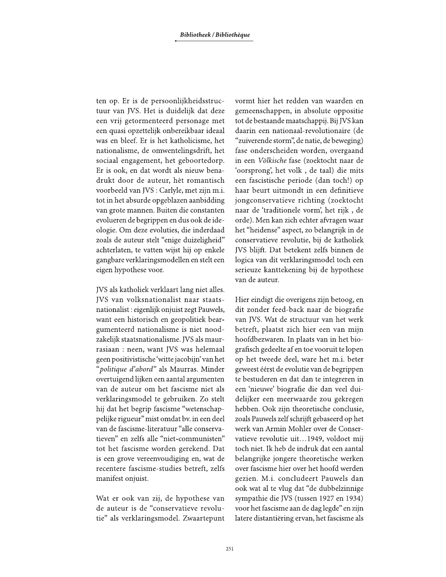ten op. Er is de persoonlijkheidsstructuur van JVS. Het is duidelijk dat deze een vrij getormenteerd personage met een quasi opzettelijk onbereikbaar ideaal was en bleef. Er is het katholicisme, het nationalisme, de omwentelingsdrift, het sociaal engagement, het geboortedorp. Er is ook, en dat wordt als nieuw benadrukt door de auteur, hèt romantisch voorbeeld van JVS : Carlyle, met zijn m.i. tot in het absurde opgeblazen aanbidding van grote mannen. Buiten die constanten evolueren de begrippen en dus ook de ideologie. Om deze evoluties, die inderdaad zoals de auteur stelt "enige duizeligheid" achterlaten, te vatten wijst hij op enkele gangbare verklaringsmodellen en stelt een eigen hypothese voor.

JVS als katholiek verklaart lang niet alles. JVS van volksnationalist naar staatsnationalist: eigenlijk onjuist zegt Pauwels, want een historisch en geopolitiek beargumenteerd nationalisme is niet noodzakelijk staatsnationalisme. JVS als maurrasiaan: neen, want JVS was helemaal geen positivistische 'witte jacobijn' van het "politique d'abord" als Maurras. Minder overtuigend lijken een aantal argumenten van de auteur om het fascisme niet als verklaringsmodel te gebruiken. Zo stelt hij dat het begrip fascisme "wetenschappelijke rigueur" mist omdat bv. in een deel van de fascisme-literatuur "alle conservatieven" en zelfs alle "niet-communisten" tot het fascisme worden gerekend. Dat is een grove vereenvoudiging en, wat de recentere fascisme-studies betreft, zelfs manifest onjuist.

Wat er ook van zij, de hypothese van de auteur is de "conservatieve revolutie" als verklaringsmodel. Zwaartepunt vormt hier het redden van waarden en gemeenschappen, in absolute oppositie tot de bestaande maatschappij. Bij JVS kan daarin een nationaal-revolutionaire (de "zuiverende storm", de natie, de beweging) fase onderscheiden worden, overgaand in een Völkische fase (zoektocht naar de 'oorsprong', het volk, de taal) die mits een fascistische periode (dan toch!) op haar beurt uitmondt in een definitieve jongconservatieve richting (zoektocht naar de 'traditionele vorm', het rijk, de orde). Men kan zich echter afvragen waar het "heidense" aspect, zo belangrijk in de conservatieve revolutie, bij de katholiek IVS blijft. Dat betekent zelfs binnen de logica van dit verklaringsmodel toch een serieuze kanttekening bij de hypothese van de auteur.

Hier eindigt die overigens zijn betoog, en dit zonder feed-back naar de biografie van JVS. Wat de structuur van het werk betreft, plaatst zich hier een van mijn hoofdbezwaren. In plaats van in het biografisch gedeelte af en toe vooruit te lopen op het tweede deel, ware het m.i. beter geweest éérst de evolutie van de begrippen te bestuderen en dat dan te integreren in een 'nieuwe' biografie die dan veel duidelijker een meerwaarde zou gekregen hebben. Ook zijn theoretische conclusie, zoals Pauwels zelf schrijft gebaseerd op het werk van Armin Mohler over de Conservatieve revolutie uit...1949, voldoet mij toch niet. Ik heb de indruk dat een aantal belangrijke jongere theoretische werken over fascisme hier over het hoofd werden gezien. M.i. concludeert Pauwels dan ook wat al te vlug dat "de dubbelzinnige sympathie die JVS (tussen 1927 en 1934) voor het fascisme aan de dag legde" en zijn latere distantiëring ervan, het fascisme als